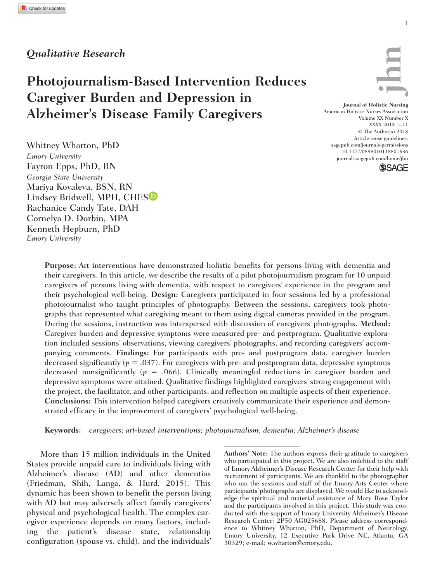# *Qualitative Research*

# **Photojournalism-Based Intervention Reduces Caregiver Burden and Depression in Alzheimer's Disease Family Caregivers**

Whitney Wharton, PhD *Emory University* Fayron Epps, PhD, RN *Georgia State University* Mariya Kovaleva, BSN, RN Lindsey Bridwell, MPH, CHES<sup>D</sup> Rachanice Candy Tate, DAH Cornelya D. Dorbin, MPA Kenneth Hepburn, PhD *Emory University*



**Journal of Holistic Nursing** American Holistic Nurses Association Volume XX Number X XXXX 201X 1–11 © The Author(s) 2018 Article reuse guidelines: [sagepub.com/journals-permissions](https://us.sagepub.com/en-us/journals-permissions) 10.1177/0898010118801636 **journal of Holistic Nursing<br>Can Holistic Nurses Association**<br>Volume XX Number X<br>XXXX 201X 1–11<br>© The Author(s) 2018<br>Article reuse guidelines:<br>pepub.com/home/jhn 10.1177/0898010118801636<br>[journals.sagepub.com/home/jhn](https://journals.sagepub.com/home/jhn)



**Purpose:** Art interventions have demonstrated holistic benefits for persons living with dementia and their caregivers. In this article, we describe the results of a pilot photojournalism program for 10 unpaid caregivers of persons living with dementia, with respect to caregivers' experience in the program and their psychological well-being. **Design:** Caregivers participated in four sessions led by a professional photojournalist who taught principles of photography. Between the sessions, caregivers took photographs that represented what caregiving meant to them using digital cameras provided in the program. During the sessions, instruction was interspersed with discussion of caregivers' photographs. **Method:** Caregiver burden and depressive symptoms were measured pre- and postprogram. Qualitative exploration included sessions' observations, viewing caregivers' photographs, and recording caregivers' accompanying comments. **Findings:** For participants with pre- and postprogram data, caregiver burden decreased significantly  $(p = .037)$ . For caregivers with pre- and postprogram data, depressive symptoms decreased nonsignificantly ( $p = .066$ ). Clinically meaningful reductions in caregiver burden and depressive symptoms were attained. Qualitative findings highlighted caregivers' strong engagement with the project, the facilitator, and other participants, and reflection on multiple aspects of their experience. **Conclusions:** This intervention helped caregivers creatively communicate their experience and demonstrated efficacy in the improvement of caregivers' psychological well-being.

**Keywords:** *caregivers; art-based interventions; photojournalism; dementia; Alzheimer's disease*

More than 15 million individuals in the United States provide unpaid care to individuals living with Alzheimer's disease (AD) and other dementias (Friedman, Shih, Langa, & Hurd, 2015). This dynamic has been shown to benefit the person living with AD but may adversely affect family caregivers' physical and psychological health. The complex caregiver experience depends on many factors, including the patient's disease state, relationship configuration (spouse vs. child), and the individuals' **Authors' Note:** The authors express their gratitude to caregivers who participated in this project. We are also indebted to the staff of Emory Alzheimer's Disease Research Center for their help with recruitment of participants. We are thankful to the photographer who ran the sessions and staff of the Emory Arts Center where participants' photographs are displayed. We would like to acknowledge the spiritual and material assistance of Mary Rose Taylor and the participants involved in this project. This study was conducted with the support of Emory University Alzheimer's Disease Research Center: 2P50 AG025688. Please address correspondence to Whitney Wharton, PhD, Department of Neurology, Emory University, 12 Executive Park Drive NE, Atlanta, GA 30329; e-mail: [w.wharton@emory.edu.](w.wharton@emory.edu)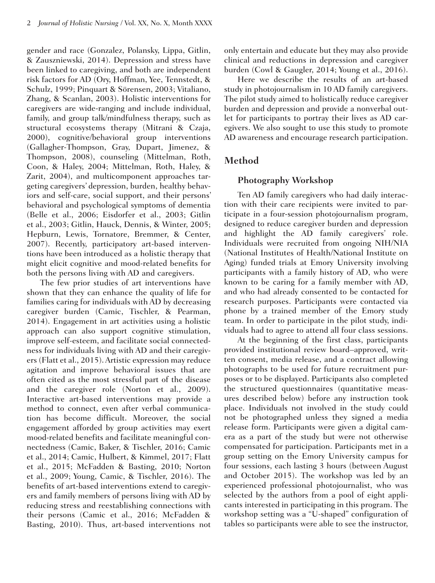gender and race (Gonzalez, Polansky, Lippa, Gitlin, & Zauszniewski, 2014). Depression and stress have been linked to caregiving, and both are independent risk factors for AD (Ory, Hoffman, Yee, Tennstedt, & Schulz, 1999; Pinquart & Sörensen, 2003; Vitaliano, Zhang, & Scanlan, 2003). Holistic interventions for caregivers are wide-ranging and include individual, family, and group talk/mindfulness therapy, such as structural ecosystems therapy (Mitrani & Czaja, 2000), cognitive/behavioral group interventions (Gallagher-Thompson, Gray, Dupart, Jimenez, & Thompson, 2008), counseling (Mittelman, Roth, Coon, & Haley, 2004; Mittelman, Roth, Haley, & Zarit, 2004), and multicomponent approaches targeting caregivers' depression, burden, healthy behaviors and self-care, social support, and their persons' behavioral and psychological symptoms of dementia (Belle et al., 2006; Eisdorfer et al., 2003; Gitlin et al., 2003; Gitlin, Hauck, Dennis, & Winter, 2005; Hepburn, Lewis, Tornatore, Bremmer, & Center, 2007). Recently, participatory art-based interventions have been introduced as a holistic therapy that might elicit cognitive and mood-related benefits for both the persons living with AD and caregivers.

The few prior studies of art interventions have shown that they can enhance the quality of life for families caring for individuals with AD by decreasing caregiver burden (Camic, Tischler, & Pearman, 2014). Engagement in art activities using a holistic approach can also support cognitive stimulation, improve self-esteem, and facilitate social connectedness for individuals living with AD and their caregivers (Flatt et al., 2015). Artistic expression may reduce agitation and improve behavioral issues that are often cited as the most stressful part of the disease and the caregiver role (Norton et al., 2009). Interactive art-based interventions may provide a method to connect, even after verbal communication has become difficult. Moreover, the social engagement afforded by group activities may exert mood-related benefits and facilitate meaningful connectedness (Camic, Baker, & Tischler, 2016; Camic et al., 2014; Camic, Hulbert, & Kimmel, 2017; Flatt et al., 2015; McFadden & Basting, 2010; Norton et al., 2009; Young, Camic, & Tischler, 2016). The benefits of art-based interventions extend to caregivers and family members of persons living with AD by reducing stress and reestablishing connections with their persons (Camic et al., 2016; McFadden & Basting, 2010). Thus, art-based interventions not

only entertain and educate but they may also provide clinical and reductions in depression and caregiver burden (Cowl & Gaugler, 2014; Young et al., 2016).

Here we describe the results of an art-based study in photojournalism in 10 AD family caregivers. The pilot study aimed to holistically reduce caregiver burden and depression and provide a nonverbal outlet for participants to portray their lives as AD caregivers. We also sought to use this study to promote AD awareness and encourage research participation.

## **Method**

#### **Photography Workshop**

Ten AD family caregivers who had daily interaction with their care recipients were invited to participate in a four-session photojournalism program, designed to reduce caregiver burden and depression and highlight the AD family caregivers' role. Individuals were recruited from ongoing NIH/NIA (National Institutes of Health/National Institute on Aging) funded trials at Emory University involving participants with a family history of AD, who were known to be caring for a family member with AD, and who had already consented to be contacted for research purposes. Participants were contacted via phone by a trained member of the Emory study team. In order to participate in the pilot study, individuals had to agree to attend all four class sessions.

At the beginning of the first class, participants provided institutional review board–approved, written consent, media release, and a contract allowing photographs to be used for future recruitment purposes or to be displayed. Participants also completed the structured questionnaires (quantitative measures described below) before any instruction took place. Individuals not involved in the study could not be photographed unless they signed a media release form. Participants were given a digital camera as a part of the study but were not otherwise compensated for participation. Participants met in a group setting on the Emory University campus for four sessions, each lasting 3 hours (between August and October 2015). The workshop was led by an experienced professional photojournalist, who was selected by the authors from a pool of eight applicants interested in participating in this program. The workshop setting was a "U-shaped" configuration of tables so participants were able to see the instructor,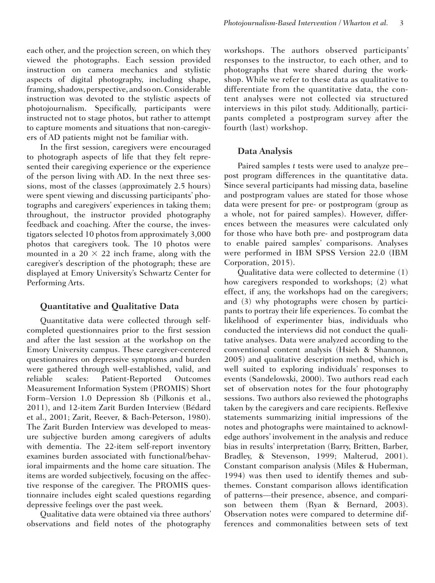each other, and the projection screen, on which they viewed the photographs. Each session provided instruction on camera mechanics and stylistic aspects of digital photography, including shape, framing, shadow, perspective, and so on. Considerable instruction was devoted to the stylistic aspects of photojournalism. Specifically, participants were instructed not to stage photos, but rather to attempt to capture moments and situations that non-caregivers of AD patients might not be familiar with.

In the first session, caregivers were encouraged to photograph aspects of life that they felt represented their caregiving experience or the experience of the person living with AD. In the next three sessions, most of the classes (approximately 2.5 hours) were spent viewing and discussing participants' photographs and caregivers' experiences in taking them; throughout, the instructor provided photography feedback and coaching. After the course, the investigators selected 10 photos from approximately 3,000 photos that caregivers took. The 10 photos were mounted in a  $20 \times 22$  inch frame, along with the caregiver's description of the photograph; these are displayed at Emory University's Schwartz Center for Performing Arts.

#### **Quantitative and Qualitative Data**

Quantitative data were collected through selfcompleted questionnaires prior to the first session and after the last session at the workshop on the Emory University campus. These caregiver-centered questionnaires on depressive symptoms and burden were gathered through well-established, valid, and reliable scales: Patient-Reported Outcomes Measurement Information System (PROMIS) Short Form–Version 1.0 Depression 8b (Pilkonis et al., 2011), and 12-item Zarit Burden Interview (Bédard et al., 2001; Zarit, Reever, & Bach-Peterson, 1980). The Zarit Burden Interview was developed to measure subjective burden among caregivers of adults with dementia. The 22-item self-report inventory examines burden associated with functional/behavioral impairments and the home care situation. The items are worded subjectively, focusing on the affective response of the caregiver. The PROMIS questionnaire includes eight scaled questions regarding depressive feelings over the past week.

Qualitative data were obtained via three authors' observations and field notes of the photography workshops. The authors observed participants' responses to the instructor, to each other, and to photographs that were shared during the workshop. While we refer to these data as qualitative to differentiate from the quantitative data, the content analyses were not collected via structured interviews in this pilot study. Additionally, participants completed a postprogram survey after the fourth (last) workshop.

#### **Data Analysis**

Paired samples *t* tests were used to analyze pre– post program differences in the quantitative data. Since several participants had missing data, baseline and postprogram values are stated for those whose data were present for pre- or postprogram (group as a whole, not for paired samples). However, differences between the measures were calculated only for those who have both pre- and postprogram data to enable paired samples' comparisons. Analyses were performed in IBM SPSS Version 22.0 (IBM Corporation, 2015).

Qualitative data were collected to determine (1) how caregivers responded to workshops; (2) what effect, if any, the workshops had on the caregivers; and (3) why photographs were chosen by participants to portray their life experiences. To combat the likelihood of experimenter bias, individuals who conducted the interviews did not conduct the qualitative analyses. Data were analyzed according to the conventional content analysis (Hsieh & Shannon, 2005) and qualitative description method, which is well suited to exploring individuals' responses to events (Sandelowski, 2000). Two authors read each set of observation notes for the four photography sessions. Two authors also reviewed the photographs taken by the caregivers and care recipients. Reflexive statements summarizing initial impressions of the notes and photographs were maintained to acknowledge authors' involvement in the analysis and reduce bias in results' interpretation (Barry, Britten, Barber, Bradley, & Stevenson, 1999; Malterud, 2001). Constant comparison analysis (Miles & Huberman, 1994) was then used to identify themes and subthemes. Constant comparison allows identification of patterns—their presence, absence, and comparison between them (Ryan & Bernard, 2003). Observation notes were compared to determine differences and commonalities between sets of text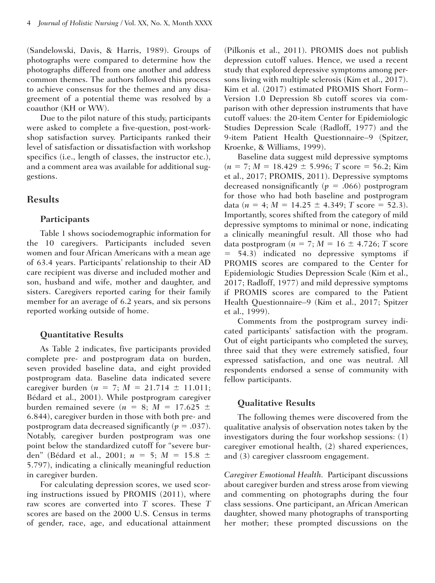(Sandelowski, Davis, & Harris, 1989). Groups of photographs were compared to determine how the photographs differed from one another and address common themes. The authors followed this process to achieve consensus for the themes and any disagreement of a potential theme was resolved by a coauthor (KH or WW).

Due to the pilot nature of this study, participants were asked to complete a five-question, post-workshop satisfaction survey. Participants ranked their level of satisfaction or dissatisfaction with workshop specifics (i.e., length of classes, the instructor etc.), and a comment area was available for additional suggestions.

### **Results**

#### **Participants**

Table 1 shows sociodemographic information for the 10 caregivers. Participants included seven women and four African Americans with a mean age of 63.4 years. Participants' relationship to their AD care recipient was diverse and included mother and son, husband and wife, mother and daughter, and sisters. Caregivers reported caring for their family member for an average of 6.2 years, and six persons reported working outside of home.

#### **Quantitative Results**

As Table 2 indicates, five participants provided complete pre- and postprogram data on burden, seven provided baseline data, and eight provided postprogram data. Baseline data indicated severe caregiver burden ( $n = 7$ ;  $M = 21.714 \pm 11.011$ ; Bédard et al., 2001). While postprogram caregiver burden remained severe ( $n = 8$ ;  $M = 17.625 \pm$ 6.844), caregiver burden in those with both pre- and postprogram data decreased significantly ( $p = .037$ ). Notably, caregiver burden postprogram was one point below the standardized cutoff for "severe burden" (Bédard et al., 2001; *n* = 5; *M* = 15.8 ± 5.797), indicating a clinically meaningful reduction in caregiver burden.

For calculating depression scores, we used scoring instructions issued by PROMIS (2011), where raw scores are converted into *T* scores. These *T* scores are based on the 2000 U.S. Census in terms of gender, race, age, and educational attainment

(Pilkonis et al., 2011). PROMIS does not publish depression cutoff values. Hence, we used a recent study that explored depressive symptoms among persons living with multiple sclerosis (Kim et al., 2017). Kim et al. (2017) estimated PROMIS Short Form– Version 1.0 Depression 8b cutoff scores via comparison with other depression instruments that have cutoff values: the 20-item Center for Epidemiologic Studies Depression Scale (Radloff, 1977) and the 9-item Patient Health Questionnaire–9 (Spitzer, Kroenke, & Williams, 1999).

Baseline data suggest mild depressive symptoms (*n* = 7; *M* = 18.429 ± 5.996; *T* score = 56.2; Kim et al., 2017; PROMIS, 2011). Depressive symptoms decreased nonsignificantly ( $p = .066$ ) postprogram for those who had both baseline and postprogram data ( $n = 4$ ;  $M = 14.25 \pm 4.349$ ; *T* score = 52.3). Importantly, scores shifted from the category of mild depressive symptoms to minimal or none, indicating a clinically meaningful result. All those who had data postprogram ( $n = 7$ ;  $M = 16 \pm 4.726$ ; *T* score = 54.3) indicated no depressive symptoms if PROMIS scores are compared to the Center for Epidemiologic Studies Depression Scale (Kim et al., 2017; Radloff, 1977) and mild depressive symptoms if PROMIS scores are compared to the Patient Health Questionnaire–9 (Kim et al., 2017; Spitzer et al., 1999).

Comments from the postprogram survey indicated participants' satisfaction with the program. Out of eight participants who completed the survey, three said that they were extremely satisfied, four expressed satisfaction, and one was neutral. All respondents endorsed a sense of community with fellow participants.

#### **Qualitative Results**

The following themes were discovered from the qualitative analysis of observation notes taken by the investigators during the four workshop sessions: (1) caregiver emotional health, (2) shared experiences, and (3) caregiver classroom engagement.

*Caregiver Emotional Health.* Participant discussions about caregiver burden and stress arose from viewing and commenting on photographs during the four class sessions. One participant, an African American daughter, showed many photographs of transporting her mother; these prompted discussions on the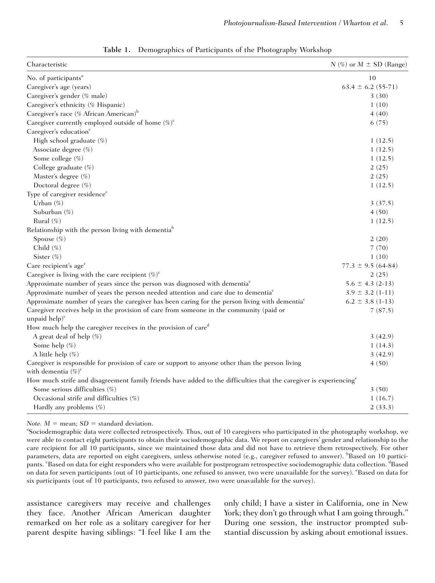| 10<br>$63.4 \pm 6.2$ (55-71)<br>3(30)<br>1(10)<br>4(40)<br>6(75)<br>1(12.5)                                                    |
|--------------------------------------------------------------------------------------------------------------------------------|
|                                                                                                                                |
|                                                                                                                                |
|                                                                                                                                |
|                                                                                                                                |
|                                                                                                                                |
|                                                                                                                                |
|                                                                                                                                |
|                                                                                                                                |
| 1(12.5)                                                                                                                        |
| 1(12.5)                                                                                                                        |
| 2(25)                                                                                                                          |
| 2(25)                                                                                                                          |
| 1(12.5)                                                                                                                        |
|                                                                                                                                |
| 3(37.5)                                                                                                                        |
| 4(50)                                                                                                                          |
| 1(12.5)                                                                                                                        |
|                                                                                                                                |
| 2(20)                                                                                                                          |
| 7(70)                                                                                                                          |
| 1(10)                                                                                                                          |
| $77.3 \pm 9.5(64-84)$                                                                                                          |
| 2(25)                                                                                                                          |
| $5.6 \pm 4.3$ (2-13)                                                                                                           |
| $3.9 \pm 3.2$ (1-11)                                                                                                           |
| $6.2 \pm 3.8$ (1-13)                                                                                                           |
| 7(87.5)                                                                                                                        |
|                                                                                                                                |
| 3(42.9)                                                                                                                        |
| 1(14.3)                                                                                                                        |
| 3(42.9)                                                                                                                        |
| 4(50)                                                                                                                          |
| How much strife and disagreement family friends have added to the difficulties that the caregiver is experiencing <sup>e</sup> |
| 3(50)                                                                                                                          |
| 1(16.7)                                                                                                                        |
| 2(33.3)                                                                                                                        |
|                                                                                                                                |

**Table 1.** Demographics of Participants of the Photography Workshop

*Note.*  $M =$  mean;  $SD =$  standard deviation.

a Sociodemographic data were collected retrospectively. Thus, out of 10 caregivers who participated in the photography workshop, we were able to contact eight participants to obtain their sociodemographic data. We report on caregivers' gender and relationship to the care recipient for all 10 participants, since we maintained those data and did not have to retrieve them retrospectively. For other parameters, data are reported on eight caregivers, unless otherwise noted (e.g., caregiver refused to answer). <sup>b</sup>Based on 10 participants. "Based on data for eight responders who were available for postprogram retrospective sociodemographic data collection. <sup>d</sup>Based on data for seven participants (out of 10 participants, one refused to answer, two were unavailable for the survey). <sup>e</sup>Based on data for six participants (out of 10 participants, two refused to answer, two were unavailable for the survey).

assistance caregivers may receive and challenges they face. Another African American daughter remarked on her role as a solitary caregiver for her parent despite having siblings: "I feel like I am the only child; I have a sister in California, one in New York; they don't go through what I am going through." During one session, the instructor prompted substantial discussion by asking about emotional issues.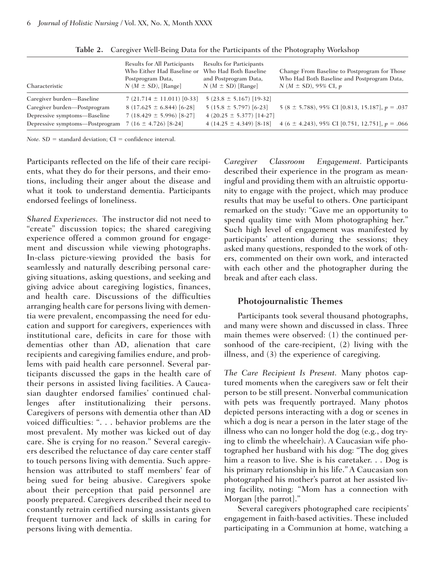| Characteristic                  | Results for All Participants<br>Who Either Had Baseline or<br>Postprogram Data,<br>$N (M \pm SD)$ , [Range] | <b>Results for Participants</b><br>Who Had Both Baseline<br>and Postprogram Data,<br>$N (M \pm SD)$ [Range] | Change From Baseline to Postprogram for Those<br>Who Had Both Baseline and Postprogram Data,<br>$N(M \pm SD)$ , 95% CI, p |
|---------------------------------|-------------------------------------------------------------------------------------------------------------|-------------------------------------------------------------------------------------------------------------|---------------------------------------------------------------------------------------------------------------------------|
| Caregiver burden-Baseline       | $7(21.714 \pm 11.011)$ [0-33]                                                                               | $5(23.8 \pm 5.167)$ [19-32]                                                                                 |                                                                                                                           |
| Caregiver burden-Postprogram    | $8(17.625 \pm 6.844)$ [6-28]                                                                                | $5(15.8 \pm 5.797)$ [6-23]                                                                                  | 5 (8 ± 5.788), 95% CI [0.813, 15.187], $p = .037$                                                                         |
| Depressive symptoms-Baseline    | $7(18.429 \pm 5.996)$ [8-27]                                                                                | $4(20.25 \pm 5.377)$ [14-27]                                                                                |                                                                                                                           |
| Depressive symptoms—Postprogram | $7(16 \pm 4.726)$ [8-24]                                                                                    |                                                                                                             | 4 (14.25 ± 4.349) [8-18] 4 (6 ± 4.243), 95% CI [0.751, 12.751], $p = .066$                                                |

**Table 2.** Caregiver Well-Being Data for the Participants of the Photography Workshop

*Note. SD* = standard deviation; CI = confidence interval.

Participants reflected on the life of their care recipients, what they do for their persons, and their emotions, including their anger about the disease and what it took to understand dementia. Participants endorsed feelings of loneliness.

*Shared Experiences.* The instructor did not need to "create" discussion topics; the shared caregiving experience offered a common ground for engagement and discussion while viewing photographs. In-class picture-viewing provided the basis for seamlessly and naturally describing personal caregiving situations, asking questions, and seeking and giving advice about caregiving logistics, finances, and health care. Discussions of the difficulties arranging health care for persons living with dementia were prevalent, encompassing the need for education and support for caregivers, experiences with institutional care, deficits in care for those with dementias other than AD, alienation that care recipients and caregiving families endure, and problems with paid health care personnel. Several participants discussed the gaps in the health care of their persons in assisted living facilities. A Caucasian daughter endorsed families' continued challenges after institutionalizing their persons. Caregivers of persons with dementia other than AD voiced difficulties: ". . . behavior problems are the most prevalent. My mother was kicked out of day care. She is crying for no reason." Several caregivers described the reluctance of day care center staff to touch persons living with dementia. Such apprehension was attributed to staff members' fear of being sued for being abusive. Caregivers spoke about their perception that paid personnel are poorly prepared. Caregivers described their need to constantly retrain certified nursing assistants given frequent turnover and lack of skills in caring for persons living with dementia.

*Caregiver Classroom Engagement.* Participants described their experience in the program as meaningful and providing them with an altruistic opportunity to engage with the project, which may produce results that may be useful to others. One participant remarked on the study: "Gave me an opportunity to spend quality time with Mom photographing her." Such high level of engagement was manifested by participants' attention during the sessions; they asked many questions, responded to the work of others, commented on their own work, and interacted with each other and the photographer during the break and after each class.

#### **Photojournalistic Themes**

Participants took several thousand photographs, and many were shown and discussed in class. Three main themes were observed: (1) the continued personhood of the care-recipient, (2) living with the illness, and (3) the experience of caregiving.

*The Care Recipient Is Present.* Many photos captured moments when the caregivers saw or felt their person to be still present. Nonverbal communication with pets was frequently portrayed. Many photos depicted persons interacting with a dog or scenes in which a dog is near a person in the later stage of the illness who can no longer hold the dog (e.g., dog trying to climb the wheelchair). A Caucasian wife photographed her husband with his dog: "The dog gives him a reason to live. She is his caretaker. . . Dog is his primary relationship in his life." A Caucasian son photographed his mother's parrot at her assisted living facility, noting: "Mom has a connection with Morgan [the parrot]."

Several caregivers photographed care recipients' engagement in faith-based activities. These included participating in a Communion at home, watching a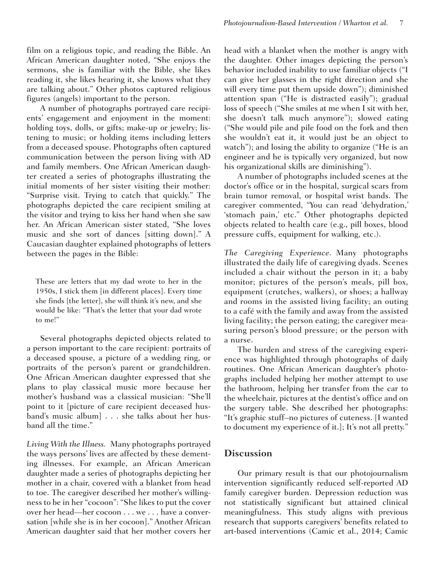film on a religious topic, and reading the Bible. An African American daughter noted, "She enjoys the sermons, she is familiar with the Bible, she likes reading it, she likes hearing it, she knows what they are talking about." Other photos captured religious figures (angels) important to the person.

A number of photographs portrayed care recipients' engagement and enjoyment in the moment: holding toys, dolls, or gifts; make-up or jewelry; listening to music; or holding items including letters from a deceased spouse. Photographs often captured communication between the person living with AD and family members. One African American daughter created a series of photographs illustrating the initial moments of her sister visiting their mother: "Surprise visit. Trying to catch that quickly." The photographs depicted the care recipient smiling at the visitor and trying to kiss her hand when she saw her. An African American sister stated, "She loves music and she sort of dances [sitting down]." A Caucasian daughter explained photographs of letters between the pages in the Bible:

These are letters that my dad wrote to her in the 1950s, I stick them [in different places]. Every time she finds [the letter], she will think it's new, and she would be like: "That's the letter that your dad wrote to me!"

Several photographs depicted objects related to a person important to the care recipient: portraits of a deceased spouse, a picture of a wedding ring, or portraits of the person's parent or grandchildren. One African American daughter expressed that she plans to play classical music more because her mother's husband was a classical musician: "She'll point to it [picture of care recipient deceased husband's music album] . . . she talks about her husband all the time."

*Living With the Illness.* Many photographs portrayed the ways persons' lives are affected by these dementing illnesses. For example, an African American daughter made a series of photographs depicting her mother in a chair, covered with a blanket from head to toe. The caregiver described her mother's willingness to be in her "cocoon": "She likes to put the cover over her head—her cocoon . . . we . . . have a conversation [while she is in her cocoon]." Another African American daughter said that her mother covers her head with a blanket when the mother is angry with the daughter. Other images depicting the person's behavior included inability to use familiar objects ("I can give her glasses in the right direction and she will every time put them upside down"); diminished attention span ("He is distracted easily"); gradual loss of speech ("She smiles at me when I sit with her, she doesn't talk much anymore"); slowed eating ("She would pile and pile food on the fork and then she wouldn't eat it, it would just be an object to watch"); and losing the ability to organize ("He is an engineer and he is typically very organized, but now his organizational skills are diminishing").

A number of photographs included scenes at the doctor's office or in the hospital, surgical scars from brain tumor removal, or hospital wrist bands. The caregiver commented, "You can read 'dehydration,' 'stomach pain,' etc." Other photographs depicted objects related to health care (e.g., pill boxes, blood pressure cuffs, equipment for walking, etc.).

*The Caregiving Experience.* Many photographs illustrated the daily life of caregiving dyads. Scenes included a chair without the person in it; a baby monitor; pictures of the person's meals, pill box, equipment (crutches, walkers), or shoes; a hallway and rooms in the assisted living facility; an outing to a café with the family and away from the assisted living facility; the person eating; the caregiver measuring person's blood pressure; or the person with a nurse.

The burden and stress of the caregiving experience was highlighted through photographs of daily routines. One African American daughter's photographs included helping her mother attempt to use the bathroom, helping her transfer from the car to the wheelchair, pictures at the dentist's office and on the surgery table. She described her photographs: "It's graphic stuff–no pictures of cuteness. [I wanted to document my experience of it.]; It's not all pretty."

#### **Discussion**

Our primary result is that our photojournalism intervention significantly reduced self-reported AD family caregiver burden. Depression reduction was not statistically significant but attained clinical meaningfulness. This study aligns with previous research that supports caregivers' benefits related to art-based interventions (Camic et al., 2014; Camic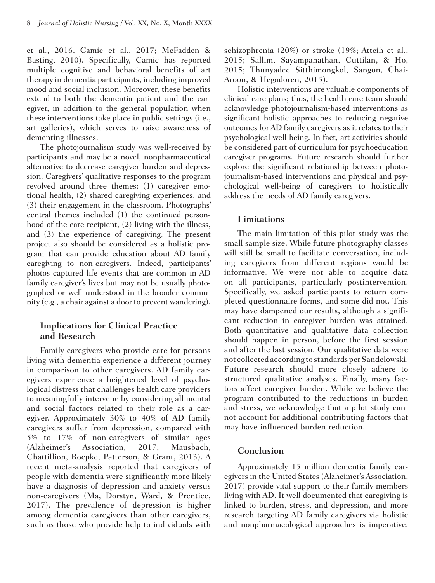et al., 2016, Camic et al., 2017; McFadden & Basting, 2010). Specifically, Camic has reported multiple cognitive and behavioral benefits of art therapy in dementia participants, including improved mood and social inclusion. Moreover, these benefits extend to both the dementia patient and the caregiver, in addition to the general population when these interventions take place in public settings (i.e., art galleries), which serves to raise awareness of dementing illnesses.

The photojournalism study was well-received by participants and may be a novel, nonpharmaceutical alternative to decrease caregiver burden and depression. Caregivers' qualitative responses to the program revolved around three themes: (1) caregiver emotional health, (2) shared caregiving experiences, and (3) their engagement in the classroom. Photographs' central themes included (1) the continued personhood of the care recipient, (2) living with the illness, and (3) the experience of caregiving. The present project also should be considered as a holistic program that can provide education about AD family caregiving to non-caregivers. Indeed, participants' photos captured life events that are common in AD family caregiver's lives but may not be usually photographed or well understood in the broader community (e.g., a chair against a door to prevent wandering).

## **Implications for Clinical Practice and Research**

Family caregivers who provide care for persons living with dementia experience a different journey in comparison to other caregivers. AD family caregivers experience a heightened level of psychological distress that challenges health care providers to meaningfully intervene by considering all mental and social factors related to their role as a caregiver. Approximately 30% to 40% of AD family caregivers suffer from depression, compared with 5% to 17% of non-caregivers of similar ages (Alzheimer's Association, 2017; Mausbach, Chattillion, Roepke, Patterson, & Grant, 2013). A recent meta-analysis reported that caregivers of people with dementia were significantly more likely have a diagnosis of depression and anxiety versus non-caregivers (Ma, Dorstyn, Ward, & Prentice, 2017). The prevalence of depression is higher among dementia caregivers than other caregivers, such as those who provide help to individuals with

schizophrenia (20%) or stroke (19%; Atteih et al., 2015; Sallim, Sayampanathan, Cuttilan, & Ho, 2015; Thunyadee Sitthimongkol, Sangon, Chai-Aroon, & Hegadoren, 2015).

Holistic interventions are valuable components of clinical care plans; thus, the health care team should acknowledge photojournalism-based interventions as significant holistic approaches to reducing negative outcomes for AD family caregivers as it relates to their psychological well-being. In fact, art activities should be considered part of curriculum for psychoeducation caregiver programs. Future research should further explore the significant relationship between photojournalism-based interventions and physical and psychological well-being of caregivers to holistically address the needs of AD family caregivers.

#### **Limitations**

The main limitation of this pilot study was the small sample size. While future photography classes will still be small to facilitate conversation, including caregivers from different regions would be informative. We were not able to acquire data on all participants, particularly postintervention. Specifically, we asked participants to return completed questionnaire forms, and some did not. This may have dampened our results, although a significant reduction in caregiver burden was attained. Both quantitative and qualitative data collection should happen in person, before the first session and after the last session. Our qualitative data were not collected according to standards per Sandelowski. Future research should more closely adhere to structured qualitative analyses. Finally, many factors affect caregiver burden. While we believe the program contributed to the reductions in burden and stress, we acknowledge that a pilot study cannot account for additional contributing factors that may have influenced burden reduction.

#### **Conclusion**

Approximately 15 million dementia family caregivers in the United States (Alzheimer's Association, 2017) provide vital support to their family members living with AD. It well documented that caregiving is linked to burden, stress, and depression, and more research targeting AD family caregivers via holistic and nonpharmacological approaches is imperative.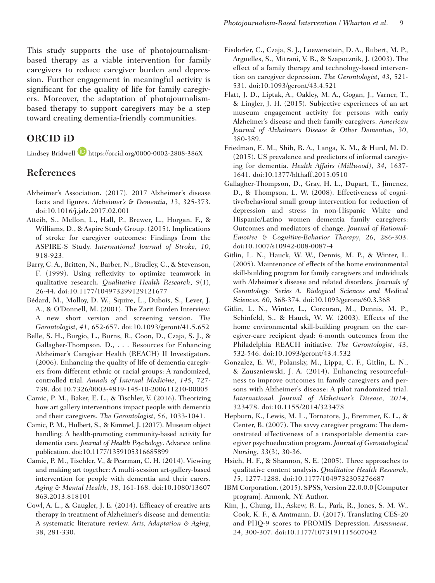This study supports the use of photojournalismbased therapy as a viable intervention for family caregivers to reduce caregiver burden and depression. Further engagement in meaningful activity is significant for the quality of life for family caregivers. Moreover, the adaptation of photojournalismbased therapy to support caregivers may be a step toward creating dementia-friendly communities.

## **ORCID iD**

Lindsey Bridwell **b** https://orcid.org/0000-0002-2808-386X

#### **References**

- Alzheimer's Association. (2017). 2017 Alzheimer's disease facts and figures. *Alzheimer's & Dementia*, *13*, 325-373. doi:10.1016/j.jalz.2017.02.001
- Atteih, S., Mellon, L., Hall, P., Brewer, L., Horgan, F., & Williams, D., & Aspire Study Group. (2015). Implications of stroke for caregiver outcomes: Findings from the ASPIRE-S Study. *International Journal of Stroke*, *10*, 918-923.
- Barry, C. A., Britten, N., Barber, N., Bradley, C., & Stevenson, F. (1999). Using reflexivity to optimize teamwork in qualitative research. *Qualitative Health Research*, *9*(1), 26-44. doi:10.1177/104973299129121677
- Bédard, M., Molloy, D. W., Squire, L., Dubois, S., Lever, J. A., & O'Donnell, M. (2001). The Zarit Burden Interview: A new short version and screening version. *The Gerontologist*, *41*, 652-657. doi:10.1093/geront/41.5.652
- Belle, S. H., Burgio, L., Burns, R., Coon, D., Czaja, S. J., & Gallagher-Thompson, D., . . . Resources for Enhancing Alzheimer's Caregiver Health (REACH) II Investigators. (2006). Enhancing the quality of life of dementia caregivers from different ethnic or racial groups: A randomized, controlled trial. *Annals of Internal Medicine*, *145*, 727- 738. doi:10.7326/0003-4819-145-10-200611210-00005
- Camic, P. M., Baker, E. L., & Tischler, V. (2016). Theorizing how art gallery interventions impact people with dementia and their caregivers. *The Gerontologist*, *56*, 1033-1041.
- Camic, P. M., Hulbert, S., & Kimmel, J. (2017). Museum object handling: A health-promoting community-based activity for dementia care. *Journal of Health Psychology*. Advance online publication. doi:10.1177/1359105316685899
- Camic, P. M., Tischler, V., & Pearman, C. H. (2014). Viewing and making art together: A multi-session art-gallery-based intervention for people with dementia and their carers. *Aging & Mental Health*, *18*, 161-168. doi:10.1080/13607 863.2013.818101
- Cowl, A. L., & Gaugler, J. E. (2014). Efficacy of creative arts therapy in treatment of Alzheimer's disease and dementia: A systematic literature review. *Arts, Adaptation & Aging*, *38*, 281-330.
- Eisdorfer, C., Czaja, S. J., Loewenstein, D. A., Rubert, M. P., Arguelles, S., Mitrani, V. B., & Szapocznik, J. (2003). The effect of a family therapy and technology-based intervention on caregiver depression. *The Gerontologist*, *43*, 521- 531. doi:10.1093/geront/43.4.521
- Flatt, J. D., Liptak, A., Oakley, M. A., Gogan, J., Varner, T., & Lingler, J. H. (2015). Subjective experiences of an art museum engagement activity for persons with early Alzheimer's disease and their family caregivers. *American Journal of Alzheimer's Disease & Other Dementias*, *30*, 380-389.
- Friedman, E. M., Shih, R. A., Langa, K. M., & Hurd, M. D. (2015). US prevalence and predictors of informal caregiving for dementia. *Health Affairs (Millwood)*, *34*, 1637- 1641. doi:10.1377/hlthaff.2015.0510
- Gallagher-Thompson, D., Gray, H. L., Dupart, T., Jimenez, D., & Thompson, L. W. (2008). Effectiveness of cognitive/behavioral small group intervention for reduction of depression and stress in non-Hispanic White and Hispanic/Latino women dementia family caregivers: Outcomes and mediators of change. *Journal of Rational-Emotive & Cognitive-Behavior Therapy*, *26*, 286-303. doi:10.1007/s10942-008-0087-4
- Gitlin, L. N., Hauck, W. W., Dennis, M. P., & Winter, L. (2005). Maintenance of effects of the home environmental skill-building program for family caregivers and individuals with Alzheimer's disease and related disorders. *Journals of Gerontology: Series A. Biological Sciences and Medical Sciences*, *60*, 368-374. doi:10.1093/gerona/60.3.368
- Gitlin, L. N., Winter, L., Corcoran, M., Dennis, M. P., Schinfeld, S., & Hauck, W. W. (2003). Effects of the home environmental skill-building program on the caregiver-care recipient dyad: 6-month outcomes from the Philadelphia REACH initiative. *The Gerontologist*, *43*, 532-546. doi:10.1093/geront/43.4.532
- Gonzalez, E. W., Polansky, M., Lippa, C. F., Gitlin, L. N., & Zauszniewski, J. A. (2014). Enhancing resourcefulness to improve outcomes in family caregivers and persons with Alzheimer's disease: A pilot randomized trial. *International Journal of Alzheimer's Disease*, *2014*, 323478. doi:10.1155/2014/323478
- Hepburn, K., Lewis, M. L., Tornatore, J., Bremmer, K. L., & Center, B. (2007). The savvy caregiver program: The demonstrated effectiveness of a transportable dementia caregiver psychoeducation program. *Journal of Gerontological Nursing*, *33*(3), 30-36.
- Hsieh, H. F., & Shannon, S. E. (2005). Three approaches to qualitative content analysis. *Qualitative Health Research*, *15*, 1277-1288. doi:10.1177/1049732305276687
- IBM Corporation. (2015). SPSS, Version 22.0.0.0 [Computer program]. Armonk, NY: Author.
- Kim, J., Chung, H., Askew, R. L., Park, R., Jones, S. M. W., Cook, K. F., & Amtmann, D. (2017). Translating CES-20 and PHQ-9 scores to PROMIS Depression. *Assessment*, *24*, 300-307. doi:10.1177/1073191115607042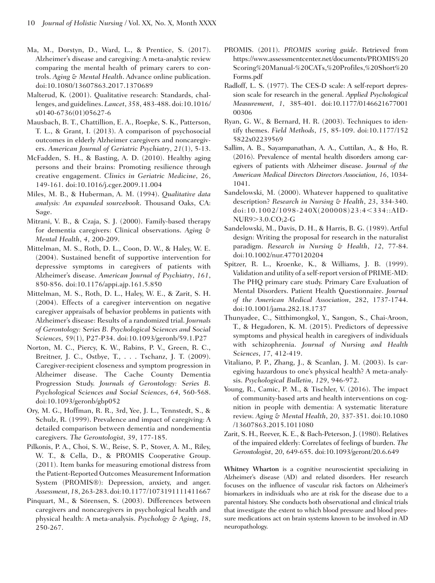- Ma, M., Dorstyn, D., Ward, L., & Prentice, S. (2017). Alzheimer's disease and caregiving: A meta-analytic review comparing the mental health of primary carers to controls. *Aging & Mental Health*. Advance online publication. doi:10.1080/13607863.2017.1370689
- Malterud, K. (2001). Qualitative research: Standards, challenges, and guidelines. *Lancet*, *358*, 483-488. doi:10.1016/ s0140-6736(01)05627-6
- Mausbach, B. T., Chattillion, E. A., Roepke, S. K., Patterson, T. L., & Grant, I. (2013). A comparison of psychosocial outcomes in elderly Alzheimer caregivers and noncaregivers. *American Journal of Geriatric Psychiatry*, *21*(1), 5-13.
- McFadden, S. H., & Basting, A. D. (2010). Healthy aging persons and their brains: Promoting resilience through creative engagement. *Clinics in Geriatric Medicine*, *26*, 149-161. doi:10.1016/j.cger.2009.11.004
- Miles, M. B., & Huberman, A. M. (1994). *Qualitative data analysis: An expanded sourcebook*. Thousand Oaks, CA: Sage.
- Mitrani, V. B., & Czaja, S. J. (2000). Family-based therapy for dementia caregivers: Clinical observations. *Aging & Mental Health*, *4*, 200-209.
- Mittelman, M. S., Roth, D. L., Coon, D. W., & Haley, W. E. (2004). Sustained benefit of supportive intervention for depressive symptoms in caregivers of patients with Alzheimer's disease. *American Journal of Psychiatry*, *161*, 850-856. doi:10.1176/appi.ajp.161.5.850
- Mittelman, M. S., Roth, D. L., Haley, W. E., & Zarit, S. H. (2004). Effects of a caregiver intervention on negative caregiver appraisals of behavior problems in patients with Alzheimer's disease: Results of a randomized trial. *Journals of Gerontology: Series B. Psychological Sciences and Social Sciences*, *59*(1), P27-P34. doi:10.1093/geronb/59.1.P27
- Norton, M. C., Piercy, K. W., Rabins, P. V., Green, R. C., Breitner, J. C., Ostbye, T., . . . Tschanz, J. T. (2009). Caregiver-recipient closeness and symptom progression in Alzheimer disease. The Cache County Dementia Progression Study. *Journals of Gerontology: Series B. Psychological Sciences and Social Sciences*, *64*, 560-568. doi:10.1093/geronb/gbp052
- Ory, M. G., Hoffman, R. R., 3rd, Yee, J. L., Tennstedt, S., & Schulz, R. (1999). Prevalence and impact of caregiving: A detailed comparison between dementia and nondementia caregivers. *The Gerontologist*, *39*, 177-185.
- Pilkonis, P. A., Choi, S. W., Reise, S. P., Stover, A. M., Riley, W. T., & Cella, D., & PROMIS Cooperative Group. (2011). Item banks for measuring emotional distress from the Patient-Reported Outcomes Measurement Information System (PROMIS®): Depression, anxiety, and anger. *Assessment*, *18*, 263-283. doi:10.1177/1073191111411667
- Pinquart, M., & Sörensen, S. (2003). Differences between caregivers and noncaregivers in psychological health and physical health: A meta-analysis. *Psychology & Aging*, *18*, 250-267.
- PROMIS. (2011). *PROMIS scoring guide*. Retrieved from [https://www.assessmentcenter.net/documents/PROMIS%20](https://www.assessmentcenter.net/documents/PROMIS%20Scoring%20Manual-%20CATs,%20Profiles,%20Short%20Forms.pdf) [Scoring%20Manual-%20CATs,%20Profiles,%20Short%20](https://www.assessmentcenter.net/documents/PROMIS%20Scoring%20Manual-%20CATs,%20Profiles,%20Short%20Forms.pdf) [Forms.pdf](https://www.assessmentcenter.net/documents/PROMIS%20Scoring%20Manual-%20CATs,%20Profiles,%20Short%20Forms.pdf)
- Radloff, L. S. (1977). The CES-D scale: A self-report depression scale for research in the general. *Applied Psychological Measurement*, *1*, 385-401. doi:10.1177/0146621677001 00306
- Ryan, G. W., & Bernard, H. R. (2003). Techniques to identify themes. *Field Methods*, *15*, 85-109. doi:10.1177/152 5822x02239569
- Sallim, A. B., Sayampanathan, A. A., Cuttilan, A., & Ho, R. (2016). Prevalence of mental health disorders among caregivers of patients with Alzheimer disease. *Journal of the American Medical Directors Directors Association*, *16*, 1034- 1041.
- Sandelowski, M. (2000). Whatever happened to qualitative description? *Research in Nursing & Health*, *23*, 334-340. doi:10.1002/1098-240X(200008)23:4<334::AID-NUR9>3.0.CO;2-G
- Sandelowski, M., Davis, D. H., & Harris, B. G. (1989). Artful design: Writing the proposal for research in the naturalist paradigm. *Research in Nursing & Health*, *12*, 77-84. doi:10.1002/nur.4770120204
- Spitzer, R. L., Kroenke, K., & Williams, J. B. (1999). Validation and utility of a self-report version of PRIME-MD: The PHQ primary care study. Primary Care Evaluation of Mental Disorders. Patient Health Questionnaire. *Journal of the American Medical Association*, *282*, 1737-1744. doi:10.1001/jama.282.18.1737
- Thunyadee, C., Sitthimongkol, Y., Sangon, S., Chai-Aroon, T., & Hegadoren, K. M. (2015). Predictors of depressive symptoms and physical health in caregivers of individuals with schizophrenia. *Journal of Nursing and Health Sciences*, *17*, 412-419.
- Vitaliano, P. P., Zhang, J., & Scanlan, J. M. (2003). Is caregiving hazardous to one's physical health? A meta-analysis. *Psychological Bulletin*, *129*, 946-972.
- Young, R., Camic, P. M., & Tischler, V. (2016). The impact of community-based arts and health interventions on cognition in people with dementia: A systematic literature review. *Aging & Mental Health*, *20*, 337-351. doi:10.1080 /13607863.2015.1011080
- Zarit, S. H., Reever, K. E., & Bach-Peterson, J. (1980). Relatives of the impaired elderly: Correlates of feelings of burden. *The Gerontologist*, *20*, 649-655. doi:10.1093/geront/20.6.649

**Whitney Wharton** is a cognitive neuroscientist specializing in Alzheimer's disease (AD) and related disorders. Her research focuses on the influence of vascular risk factors on Alzheimer's biomarkers in individuals who are at risk for the disease due to a parental history. She conducts both observational and clinical trials that investigate the extent to which blood pressure and blood pressure medications act on brain systems known to be involved in AD neuropathology.